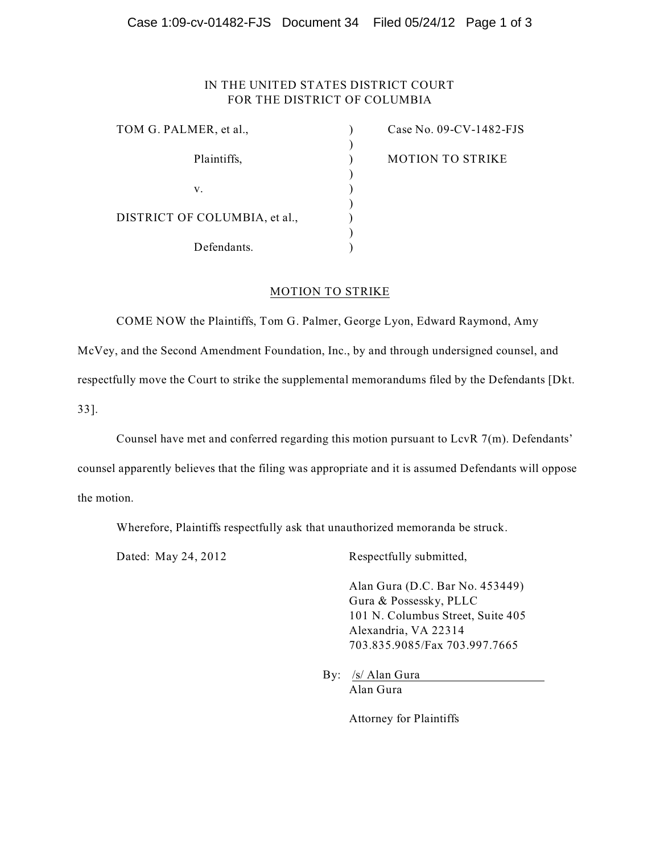# Case 1:09-cv-01482-FJS Document 34 Filed 05/24/12 Page 1 of 3

# IN THE UNITED STATES DISTRICT COURT FOR THE DISTRICT OF COLUMBIA

| TOM G. PALMER, et al.,        | Case No. $09$ -CV-1482-FJS |
|-------------------------------|----------------------------|
|                               |                            |
| Plaintiffs,                   | <b>MOTION TO STRIKE</b>    |
|                               |                            |
| v.                            |                            |
|                               |                            |
| DISTRICT OF COLUMBIA, et al., |                            |
|                               |                            |
| Defendants.                   |                            |

### MOTION TO STRIKE

COME NOW the Plaintiffs, Tom G. Palmer, George Lyon, Edward Raymond, Amy

McVey, and the Second Amendment Foundation, Inc., by and through undersigned counsel, and

respectfully move the Court to strike the supplemental memorandums filed by the Defendants [Dkt.

33].

Counsel have met and conferred regarding this motion pursuant to LcvR 7(m). Defendants'

counsel apparently believes that the filing was appropriate and it is assumed Defendants will oppose the motion.

Wherefore, Plaintiffs respectfully ask that unauthorized memoranda be struck.

Dated: May 24, 2012 Respectfully submitted,

Alan Gura (D.C. Bar No. 453449) Gura & Possessky, PLLC 101 N. Columbus Street, Suite 405 Alexandria, VA 22314 703.835.9085/Fax 703.997.7665

By: /s/ Alan Gura Alan Gura

Attorney for Plaintiffs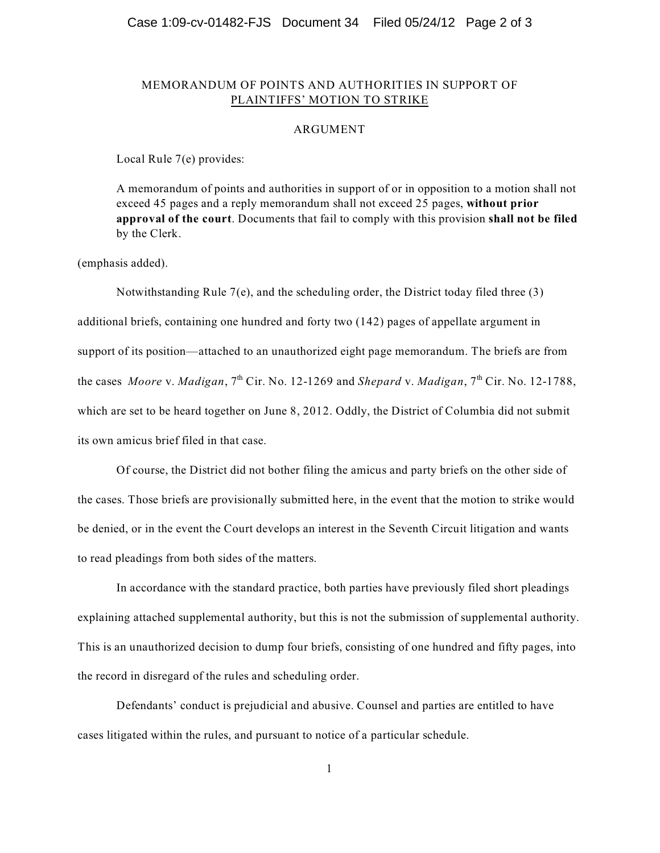### Case 1:09-cv-01482-FJS Document 34 Filed 05/24/12 Page 2 of 3

## MEMORANDUM OF POINTS AND AUTHORITIES IN SUPPORT OF PLAINTIFFS' MOTION TO STRIKE

#### ARGUMENT

Local Rule 7(e) provides:

A memorandum of points and authorities in support of or in opposition to a motion shall not exceed 45 pages and a reply memorandum shall not exceed 25 pages, **without prior approval of the court**. Documents that fail to comply with this provision **shall not be filed** by the Clerk.

(emphasis added).

Notwithstanding Rule 7(e), and the scheduling order, the District today filed three (3) additional briefs, containing one hundred and forty two (142) pages of appellate argument in support of its position—attached to an unauthorized eight page memorandum. The briefs are from the cases *Moore* v. *Madigan*, 7<sup>th</sup> Cir. No. 12-1269 and *Shepard* v. *Madigan*, 7<sup>th</sup> Cir. No. 12-1788, which are set to be heard together on June 8, 2012. Oddly, the District of Columbia did not submit its own amicus brief filed in that case.

Of course, the District did not bother filing the amicus and party briefs on the other side of the cases. Those briefs are provisionally submitted here, in the event that the motion to strike would be denied, or in the event the Court develops an interest in the Seventh Circuit litigation and wants to read pleadings from both sides of the matters.

In accordance with the standard practice, both parties have previously filed short pleadings explaining attached supplemental authority, but this is not the submission of supplemental authority. This is an unauthorized decision to dump four briefs, consisting of one hundred and fifty pages, into the record in disregard of the rules and scheduling order.

Defendants' conduct is prejudicial and abusive. Counsel and parties are entitled to have cases litigated within the rules, and pursuant to notice of a particular schedule.